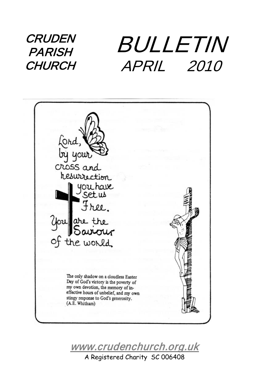**CRUDEN PARISH CHURCH** 

BULLETIN APRIL 2010



[www.crudenchurch.org.uk](http://www.crudenchurch.org.uk/) 

A Registered Charity SC 006408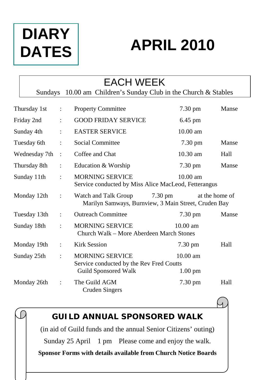# **DIARY DATES**

# **APRIL 2010**

#### EACH WEEK

Sundays 10.00 am Children's Sunday Club in the Church & Stables

| Thursday 1st  |                      | <b>Property Committee</b>                                                                    | 7.30 pm                                                                           | Manse |
|---------------|----------------------|----------------------------------------------------------------------------------------------|-----------------------------------------------------------------------------------|-------|
| Friday 2nd    | ÷                    | <b>GOOD FRIDAY SERVICE</b>                                                                   | 6.45 pm                                                                           |       |
| Sunday 4th    |                      | <b>EASTER SERVICE</b>                                                                        | $10.00$ am                                                                        |       |
| Tuesday 6th   | $\ddot{\phantom{a}}$ | Social Committee                                                                             | 7.30 pm                                                                           | Manse |
| Wednesday 7th | $\ddot{\phantom{a}}$ | Coffee and Chat                                                                              | $10.30$ am                                                                        | Hall  |
| Thursday 8th  | ÷                    | Education & Worship                                                                          | 7.30 pm                                                                           | Manse |
| Sunday 11th   |                      | <b>MORNING SERVICE</b><br>$10.00$ am<br>Service conducted by Miss Alice MacLeod, Fetterangus |                                                                                   |       |
| Monday 12th   | $\ddot{\cdot}$       | Watch and Talk Group                                                                         | 7.30 pm<br>at the home of<br>Marilyn Samways, Burnview, 3 Main Street, Cruden Bay |       |
| Tuesday 13th  | $\ddot{\phantom{0}}$ | <b>Outreach Committee</b>                                                                    | 7.30 pm                                                                           | Manse |
| Sunday 18th   |                      | <b>MORNING SERVICE</b><br>$10.00$ am<br>Church Walk – More Aberdeen March Stones             |                                                                                   |       |
| Monday 19th   | ÷                    | <b>Kirk Session</b>                                                                          | $7.30 \text{ pm}$                                                                 | Hall  |
| Sunday 25th   |                      | <b>MORNING SERVICE</b><br>Service conducted by the Rev Fred Coutts<br>Guild Sponsored Walk   | $10.00$ am<br>$1.00$ pm                                                           |       |
| Monday 26th   |                      | The Guild AGM<br><b>Cruden Singers</b>                                                       | $7.30 \text{ pm}$                                                                 | Hall  |



 $\overline{a}$ 

**Sponsor Forms with details available from Church Notice Boards**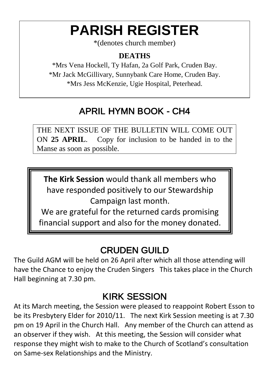# **PARISH REGISTER**

\*(denotes church member)

#### **DEATHS**

\*Mrs Vena Hockell, Ty Hafan, 2a Golf Park, Cruden Bay. \*Mr Jack McGillivary, Sunnybank Care Home, Cruden Bay. \*Mrs Jess McKenzie, Ugie Hospital, Peterhead.

#### APRIL HYMN BOOK - CH4

THE NEXT ISSUE OF THE BULLETIN WILL COME OUT ON **25 APRIL**. Copy for inclusion to be handed in to the Manse as soon as possible.

**The Kirk Session** would thank all members who have responded positively to our Stewardship Campaign last month.

We are grateful for the returned cards promising financial support and also for the money donated.

#### CRUDEN GUILD

The Guild AGM will be held on 26 April after which all those attending will have the Chance to enjoy the Cruden Singers This takes place in the Church Hall beginning at 7.30 pm.

#### KIRK SESSION

At its March meeting, the Session were pleased to reappoint Robert Esson to be its Presbytery Elder for 2010/11. The next Kirk Session meeting is at 7.30 pm on 19 April in the Church Hall. Any member of the Church can attend as an observer if they wish. At this meeting, the Session will consider what response they might wish to make to the Church of Scotland's consultation on Same-sex Relationships and the Ministry.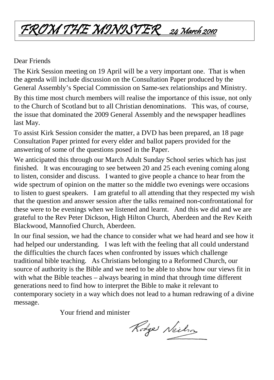### FROM THE MINISTER 24 March 2010

Dear Friends

The Kirk Session meeting on 19 April will be a very important one. That is when the agenda will include discussion on the Consultation Paper produced by the General Assembly's Special Commission on Same-sex relationships and Ministry.

By this time most church members will realise the importance of this issue, not only to the Church of Scotland but to all Christian denominations. This was, of course, the issue that dominated the 2009 General Assembly and the newspaper headlines last May.

To assist Kirk Session consider the matter, a DVD has been prepared, an 18 page Consultation Paper printed for every elder and ballot papers provided for the answering of some of the questions posed in the Paper.

We anticipated this through our March Adult Sunday School series which has just finished. It was encouraging to see between 20 and 25 each evening coming along to listen, consider and discuss. I wanted to give people a chance to hear from the wide spectrum of opinion on the matter so the middle two evenings were occasions to listen to guest speakers. I am grateful to all attending that they respected my wish that the question and answer session after the talks remained non-confrontational for these were to be evenings when we listened and learnt. And this we did and we are grateful to the Rev Peter Dickson, High Hilton Church, Aberdeen and the Rev Keith Blackwood, Mannofied Church, Aberdeen.

In our final session, we had the chance to consider what we had heard and see how it had helped our understanding. I was left with the feeling that all could understand the difficulties the church faces when confronted by issues which challenge traditional bible teaching. As Christians belonging to a Reformed Church, our source of authority is the Bible and we need to be able to show how our views fit in with what the Bible teaches – always bearing in mind that through time different generations need to find how to interpret the Bible to make it relevant to contemporary society in a way which does not lead to a human redrawing of a divine message.

Your friend and minister

Rodge Neilson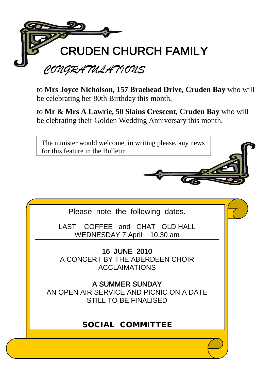

to **Mrs Joyce Nicholson, 157 Braehead Drive, Cruden Bay** who will be celebrating her 80th Birthday this month.

to **Mr & Mrs A Lawrie, 50 Slains Crescent, Cruden Bay** who will be clebrating their Golden Wedding Anniversary this month.

The minister would welcome, in writing please, any news for this feature in the Bulletin



LAST COFFEE and CHAT OLD HALL WEDNESDAY 7 April 10.30 am

16 JUNE 2010 A CONCERT BY THE ABERDEEN CHOIR ACCLAIMATIONS

A SUMMER SUNDAY AN OPEN AIR SERVICE AND PICNIC ON A DATE STILL TO BE FINALISED

SOCIAL COMMITTEE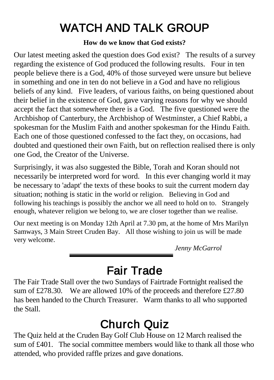## WATCH AND TALK GROUP

#### **How do we know that God exists?**

Our latest meeting asked the question does God exist? The results of a survey regarding the existence of God produced the following results. Four in ten people believe there is a God, 40% of those surveyed were unsure but believe in something and one in ten do not believe in a God and have no religious beliefs of any kind. Five leaders, of various faiths, on being questioned about their belief in the existence of God, gave varying reasons for why we should accept the fact that somewhere there is a God. The five questioned were the Archbishop of Canterbury, the Archbishop of Westminster, a Chief Rabbi, a spokesman for the Muslim Faith and another spokesman for the Hindu Faith. Each one of those questioned confessed to the fact they, on occasions, had doubted and questioned their own Faith, but on reflection realised there is only one God, the Creator of the Universe.

Surprisingly, it was also suggested the Bible, Torah and Koran should not necessarily be interpreted word for word. In this ever changing world it may be necessary to 'adapt' the texts of these books to suit the current modern day situation; nothing is static in the world or religion. Believing in God and following his teachings is possibly the anchor we all need to hold on to. Strangely enough, whatever religion we belong to, we are closer together than we realise.

Our next meeting is on Monday 12th April at 7.30 pm, at the home of Mrs Marilyn Samways, 3 Main Street Cruden Bay. All those wishing to join us will be made very welcome.

*Jenny McGarrol*

### Fair Trade

The Fair Trade Stall over the two Sundays of Fairtrade Fortnight realised the sum of £278.30. We are allowed 10% of the proceeds and therefore £27.80 has been handed to the Church Treasurer. Warm thanks to all who supported the Stall.

## Church Quiz

The Quiz held at the Cruden Bay Golf Club House on 12 March realised the sum of £401. The social committee members would like to thank all those who attended, who provided raffle prizes and gave donations.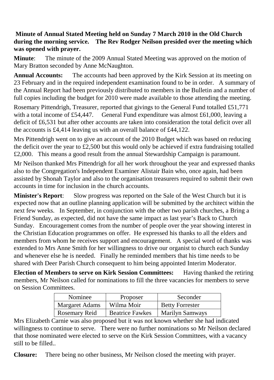#### **Minute of Annual Stated Meeting held on Sunday 7 March 2010 in the Old Church during the morning service. The Rev Rodger Neilson presided over the meeting which was opened with prayer.**

**Minute**: The minute of the 2009 Annual Stated Meeting was approved on the motion of Mary Bratton seconded by Anne McNaughton.

**Annual Accounts:** The accounts had been approved by the Kirk Session at its meeting on 23 February and in the required independent examination found to be in order. A summary of the Annual Report had been previously distributed to members in the Bulletin and a number of full copies including the budget for 2010 were made available to those attending the meeting.

Rosemary Pittendrigh, Treasurer, reported that givings to the General Fund totalled £51,771 with a total income of £54,447. General Fund expenditure was almost £61,000, leaving a deficit of £6,531 but after other accounts are taken into consideration the total deficit over all the accounts is £4,414 leaving us with an overall balance of £44,122.

Mrs Pittendrigh went on to give an account of the 2010 Budget which was based on reducing the deficit over the year to  $£2,500$  but this would only be achieved if extra fundraising totalled £2,000. This means a good result from the annual Stewardship Campaign is paramount.

Mr Neilson thanked Mrs Pittendrigh for all her work throughout the year and expressed thanks also to the Congregation's Independent Examiner Alistair Bain who, once again, had been assisted by Shonah Taylor and also to the organisation treasurers required to submit their own accounts in time for inclusion in the church accounts.

**Minister's Report**: Slow progress was reported on the Sale of the West Church but it is expected now that an outline planning application will be submitted by the architect within the next few weeks. In September, in conjunction with the other two parish churches, a Bring a Friend Sunday, as expected, did not have the same impact as last year's Back to Church Sunday. Encouragement comes from the number of people over the year showing interest in the Christian Education programmes on offer. He expressed his thanks to all the elders and members from whom he receives support and encouragement. A special word of thanks was extended to Mrs Anne Smith for her willingness to drive our organist to church each Sunday and whenever else he is needed. Finally he reminded members that his time needs to be shared with Deer Parish Church consequent to him being appointed Interim Moderator.

**Election of Members to serve on Kirk Session Committees:** Having thanked the retiring members, Mr Neilson called for nominations to fill the three vacancies for members to serve on Session Committees.

| Nominee               | Proposer               | Seconder               |  |
|-----------------------|------------------------|------------------------|--|
| <b>Margaret Adams</b> | Wilma Moir             | <b>Betty Forrester</b> |  |
| Rosemary Reid         | <b>Beatrice Fawkes</b> | Marilyn Samways        |  |

Mrs Elizabeth Carnie was also proposed but it was not known whether she had indicated willingness to continue to serve. There were no further nominations so Mr Neilson declared that those nominated were elected to serve on the Kirk Session Committees, with a vacancy still to be filled..

**Closure:** There being no other business, Mr Neilson closed the meeting with prayer.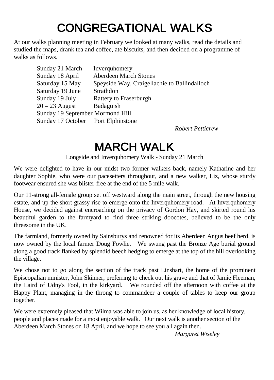## CONGREGATIONAL WALKS

At our walks planning meeting in February we looked at many walks, read the details and studied the maps, drank tea and coffee, ate biscuits, and then decided on a programme of walks as follows.

| Sunday 21 March                    | Inverguhomery                                |
|------------------------------------|----------------------------------------------|
| Sunday 18 April                    | <b>Aberdeen March Stones</b>                 |
| Saturday 15 May                    | Speyside Way, Craigellachie to Ballindalloch |
| Saturday 19 June                   | Strathdon                                    |
| Sunday 19 July                     | Rattery to Fraserburgh                       |
| 20 – 23 August                     | Badaguish                                    |
| Sunday 19 September Mormond Hill   |                                              |
| Sunday 17 October Port Elphinstone |                                              |

*Robert Petticrew*

#### MARCH WALK

Longside and Inverquhomery Walk - Sunday 21 March

We were delighted to have in our midst two former walkers back, namely Katharine and her daughter Sophie, who were our pacesetters throughout, and a new walker, Liz, whose sturdy footwear ensured she was blister-free at the end of the 5 mile walk.

Our 11-strong all-female group set off westward along the main street, through the new housing estate, and up the short grassy rise to emerge onto the Inverquhomery road. At Inverquhomery House, we decided against encroaching on the privacy of Gordon Hay, and skirted round his beautiful garden to the farmyard to find three striking doocotes, believed to be the only threesome in the UK.

The farmland, formerly owned by Sainsburys and renowned for its Aberdeen Angus beef herd, is now owned by the local farmer Doug Fowlie. We swung past the Bronze Age burial ground along a good track flanked by splendid beech hedging to emerge at the top of the hill overlooking the village.

We chose not to go along the section of the track past Linshart, the home of the prominent Episcopalian minister, John Skinner, preferring to check out his grave and that of Jamie Fleeman, the Laird of Udny's Fool, in the kirkyard. We rounded off the afternoon with coffee at the Happy Plant, managing in the throng to commandeer a couple of tables to keep our group together.

We were extremely pleased that Wilma was able to join us, as her knowledge of local history, people and places made for a most enjoyable walk. Our next walk is another section of the Aberdeen March Stones on 18 April, and we hope to see you all again then.

*Margaret Wiseley*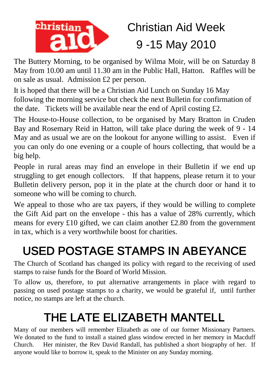

## Christian Aid Week 9 -15 May 2010

The Buttery Morning, to be organised by Wilma Moir, will be on Saturday 8 May from 10.00 am until 11.30 am in the Public Hall, Hatton. Raffles will be on sale as usual. Admission £2 per person.

It is hoped that there will be a Christian Aid Lunch on Sunday 16 May following the morning service but check the next Bulletin for confirmation of the date. Tickets will be available near the end of April costing £2.

The House-to-House collection, to be organised by Mary Bratton in Cruden Bay and Rosemary Reid in Hatton, will take place during the week of 9 - 14 May and as usual we are on the lookout for anyone willing to assist. Even if you can only do one evening or a couple of hours collecting, that would be a big help.

People in rural areas may find an envelope in their Bulletin if we end up struggling to get enough collectors. If that happens, please return it to your Bulletin delivery person, pop it in the plate at the church door or hand it to someone who will be coming to church.

We appeal to those who are tax payers, if they would be willing to complete the Gift Aid part on the envelope - this has a value of 28% currently, which means for every £10 gifted, we can claim another £2.80 from the government in tax, which is a very worthwhile boost for charities.

## USED POSTAGE STAMPS IN ABEYANCE

The Church of Scotland has changed its policy with regard to the receiving of used stamps to raise funds for the Board of World Mission.

To allow us, therefore, to put alternative arrangements in place with regard to passing on used postage stamps to a charity, we would be grateful if, until further notice, no stamps are left at the church.

# THE LATE ELIZABETH MANTELL

Many of our members will remember Elizabeth as one of our former Missionary Partners. We donated to the fund to install a stained glass window erected in her memory in Macduff Church. Her minister, the Rev David Randall, has published a short biography of her. If anyone would like to borrow it, speak to the Minister on any Sunday morning.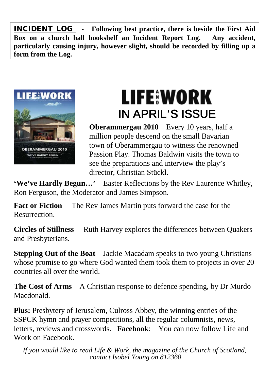INCIDENT LOG **- Following best practice, there is beside the First Aid Box on a church hall bookshelf an Incident Report Log. Any accident, particularly causing injury, however slight, should be recorded by filling up a form from the Log.**



# **LIFE:WORK** IN APRIL'S ISSUE

**Oberammergau 2010** Every 10 years, half a million people descend on the small Bavarian town of Oberammergau to witness the renowned Passion Play. Thomas Baldwin visits the town to see the preparations and interview the play's director, Christian Stückl.

**'We've Hardly Begun…'** Easter Reflections by the Rev Laurence Whitley, Ron Ferguson, the Moderator and James Simpson.

**Fact or Fiction** The Rev James Martin puts forward the case for the Resurrection.

**Circles of Stillness** Ruth Harvey explores the differences between Quakers and Presbyterians.

**Stepping Out of the Boat** Jackie Macadam speaks to two young Christians whose promise to go where God wanted them took them to projects in over 20 countries all over the world.

**The Cost of Arms** A Christian response to defence spending, by Dr Murdo Macdonald.

**Plus:** Presbytery of Jerusalem, Culross Abbey, the winning entries of the SSPCK hymn and prayer competitions, all the regular columnists, news, letters, reviews and crosswords. **Facebook**: You can now follow Life and Work on Facebook.

*If you would like to read Life & Work, the magazine of the Church of Scotland, contact Isobel Young on 812360*